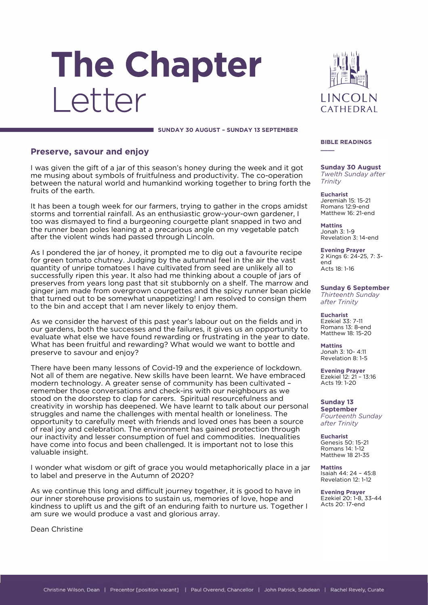# The Chapter Letter



 **SUNDAY 30 AUGUST – SUNDAY 13 SEPTEMBER**

### **Preserve, savour and enjoy**

I was given the gift of a jar of this season's honey during the week and it got me musing about symbols of fruitfulness and productivity. The co-operation between the natural world and humankind working together to bring forth the fruits of the earth.

It has been a tough week for our farmers, trying to gather in the crops amidst storms and torrential rainfall. As an enthusiastic grow-your-own gardener, I too was dismayed to find a burgeoning courgette plant snapped in two and the runner bean poles leaning at a precarious angle on my vegetable patch after the violent winds had passed through Lincoln.

As I pondered the jar of honey, it prompted me to dig out a favourite recipe for green tomato chutney. Judging by the autumnal feel in the air the vast quantity of unripe tomatoes I have cultivated from seed are unlikely all to successfully ripen this year. It also had me thinking about a couple of jars of preserves from years long past that sit stubbornly on a shelf. The marrow and ginger jam made from overgrown courgettes and the spicy runner bean pickle that turned out to be somewhat unappetizing! I am resolved to consign them to the bin and accept that I am never likely to enjoy them.

As we consider the harvest of this past year's labour out on the fields and in our gardens, both the successes and the failures, it gives us an opportunity to evaluate what else we have found rewarding or frustrating in the year to date. What has been fruitful and rewarding? What would we want to bottle and preserve to savour and enjoy?

There have been many lessons of Covid-19 and the experience of lockdown. Not all of them are negative. New skills have been learnt. We have embraced modern technology. A greater sense of community has been cultivated – remember those conversations and check-ins with our neighbours as we stood on the doorstep to clap for carers. Spiritual resourcefulness and creativity in worship has deepened. We have learnt to talk about our personal struggles and name the challenges with mental health or loneliness. The opportunity to carefully meet with friends and loved ones has been a source of real joy and celebration. The environment has gained protection through our inactivity and lesser consumption of fuel and commodities. Inequalities have come into focus and been challenged. It is important not to lose this valuable insight.

I wonder what wisdom or gift of grace you would metaphorically place in a jar to label and preserve in the Autumn of 2020?

As we continue this long and difficult journey together, it is good to have in our inner storehouse provisions to sustain us, memories of love, hope and kindness to uplift us and the gift of an enduring faith to nurture us. Together I am sure we would produce a vast and glorious array.

Dean Christine

#### **BIBLE READINGS**

**\_\_\_\_**

**Sunday 30 August** *Twelth Sunday after Trinity*

**Eucharist** Jeremiah 15: 15-21 Romans 12:9-end Matthew 16: 21-end

**Mattins** Jonah 3: 1-9 Revelation 3: 14-end

**Evening Prayer** 2 Kings 6: 24-25, 7: 3 end Acts 18: 1-16

**Sunday 6 September** *Thirteenth Sunday* 

*after Trinity*

**Eucharist** Ezekiel 33: 7-11 Romans 13: 8-end Matthew 18: 15-20

**Mattins** Jonah 3: 10- 4:11 Revelation 8: 1-5

**Evening Prayer** Ezekiel 12: 21 – 13:16 Acts 19: 1-20

**Sunday 13 September** *Fourteenth Sunday after Trinity*

**Eucharist** Genesis 50: 15-21 Romans 14: 1-12 Matthew 18 21-35

**Mattins** Isaiah 44: 24 – 45:8 Revelation 12: 1-12

**Evening Prayer** Ezekiel 20: 1-8, 33-44 Acts 20: 17-end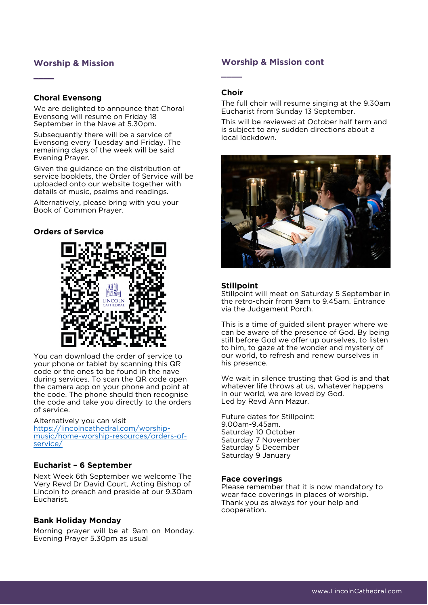## **Worship & Mission**

## **Choral Evensong**

**\_\_\_\_**

We are delighted to announce that Choral Evensong will resume on Friday 18 September in the Nave at 5.30pm.

Subsequently there will be a service of Evensong every Tuesday and Friday. The remaining days of the week will be said Evening Prayer.

Given the guidance on the distribution of service booklets, the Order of Service will be uploaded onto our website together with details of music, psalms and readings.

Alternatively, please bring with you your Book of Common Prayer.

## **Orders of Service**



You can download the order of service to your phone or tablet by scanning this QR code or the ones to be found in the nave during services. To scan the QR code open the camera app on your phone and point at the code. The phone should then recognise the code and take you directly to the orders of service.

Alternatively you can visit [https://lincolncathedral.com/worship](https://lincolncathedral.com/worship-music/home-worship-resources/orders-of-service/)[music/home-worship-resources/orders-of](https://lincolncathedral.com/worship-music/home-worship-resources/orders-of-service/)[service/](https://lincolncathedral.com/worship-music/home-worship-resources/orders-of-service/)

## **Eucharist – 6 September**

Next Week 6th September we welcome The Very Revd Dr David Court, Acting Bishop of Lincoln to preach and preside at our 9.30am Eucharist.

### **Bank Holiday Monday**

Morning prayer will be at 9am on Monday. Evening Prayer 5.30pm as usual

## **Worship & Mission cont**

#### **Choir**

**\_\_\_\_**

The full choir will resume singing at the 9.30am Eucharist from Sunday 13 September.

This will be reviewed at October half term and is subject to any sudden directions about a local lockdown.



#### **Stillpoint**

Stillpoint will meet on Saturday 5 September in the retro-choir from 9am to 9.45am. Entrance via the Judgement Porch.

This is a time of guided silent prayer where we can be aware of the presence of God. By being still before God we offer up ourselves, to listen to him, to gaze at the wonder and mystery of our world, to refresh and renew ourselves in his presence.

We wait in silence trusting that God is and that whatever life throws at us, whatever happens in our world, we are loved by God. Led by Revd Ann Mazur.

Future dates for Stillpoint: 9.00am-9.45am. Saturday 10 October Saturday 7 November Saturday 5 December Saturday 9 January

#### **Face coverings**

Please remember that it is now mandatory to wear face coverings in places of worship. Thank you as always for your help and cooperation.